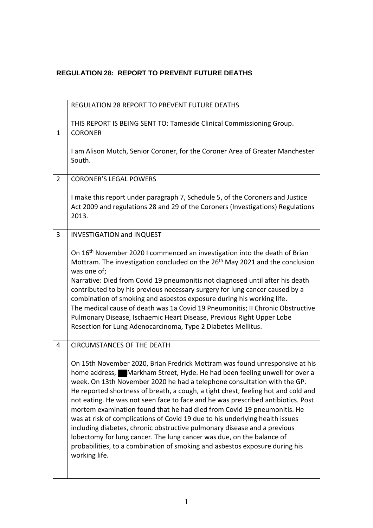## **REGULATION 28: REPORT TO PREVENT FUTURE DEATHS**

|                | REGULATION 28 REPORT TO PREVENT FUTURE DEATHS                                                                                                                                                                                                                                                                                                                                                                                                                                                                                                                                                                                                                                                                                                                                                                                 |
|----------------|-------------------------------------------------------------------------------------------------------------------------------------------------------------------------------------------------------------------------------------------------------------------------------------------------------------------------------------------------------------------------------------------------------------------------------------------------------------------------------------------------------------------------------------------------------------------------------------------------------------------------------------------------------------------------------------------------------------------------------------------------------------------------------------------------------------------------------|
|                | THIS REPORT IS BEING SENT TO: Tameside Clinical Commissioning Group.                                                                                                                                                                                                                                                                                                                                                                                                                                                                                                                                                                                                                                                                                                                                                          |
| $\mathbf{1}$   | <b>CORONER</b><br>I am Alison Mutch, Senior Coroner, for the Coroner Area of Greater Manchester<br>South.                                                                                                                                                                                                                                                                                                                                                                                                                                                                                                                                                                                                                                                                                                                     |
| $\overline{2}$ | <b>CORONER'S LEGAL POWERS</b>                                                                                                                                                                                                                                                                                                                                                                                                                                                                                                                                                                                                                                                                                                                                                                                                 |
|                | I make this report under paragraph 7, Schedule 5, of the Coroners and Justice<br>Act 2009 and regulations 28 and 29 of the Coroners (Investigations) Regulations<br>2013.                                                                                                                                                                                                                                                                                                                                                                                                                                                                                                                                                                                                                                                     |
| 3              | <b>INVESTIGATION and INQUEST</b>                                                                                                                                                                                                                                                                                                                                                                                                                                                                                                                                                                                                                                                                                                                                                                                              |
|                | On 16 <sup>th</sup> November 2020 I commenced an investigation into the death of Brian<br>Mottram. The investigation concluded on the 26 <sup>th</sup> May 2021 and the conclusion<br>was one of;<br>Narrative: Died from Covid 19 pneumonitis not diagnosed until after his death<br>contributed to by his previous necessary surgery for lung cancer caused by a<br>combination of smoking and asbestos exposure during his working life.<br>The medical cause of death was 1a Covid 19 Pneumonitis; II Chronic Obstructive<br>Pulmonary Disease, Ischaemic Heart Disease, Previous Right Upper Lobe<br>Resection for Lung Adenocarcinoma, Type 2 Diabetes Mellitus.                                                                                                                                                        |
| 4              | <b>CIRCUMSTANCES OF THE DEATH</b>                                                                                                                                                                                                                                                                                                                                                                                                                                                                                                                                                                                                                                                                                                                                                                                             |
|                | On 15th November 2020, Brian Fredrick Mottram was found unresponsive at his<br>home address, Markham Street, Hyde. He had been feeling unwell for over a<br>week. On 13th November 2020 he had a telephone consultation with the GP.<br>He reported shortness of breath, a cough, a tight chest, feeling hot and cold and<br>not eating. He was not seen face to face and he was prescribed antibiotics. Post<br>mortem examination found that he had died from Covid 19 pneumonitis. He<br>was at risk of complications of Covid 19 due to his underlying health issues<br>including diabetes, chronic obstructive pulmonary disease and a previous<br>lobectomy for lung cancer. The lung cancer was due, on the balance of<br>probabilities, to a combination of smoking and asbestos exposure during his<br>working life. |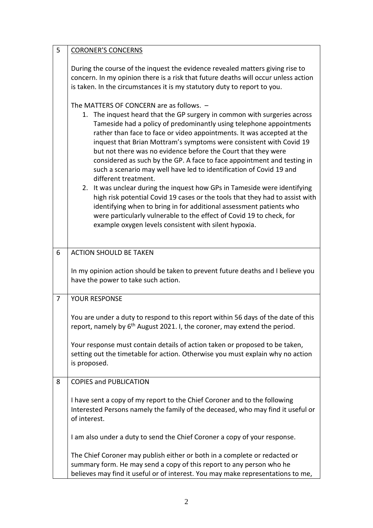| 5 | <b>CORONER'S CONCERNS</b>                                                                                                                                                                                                                                                                                                                                                                                                                                                                                                                   |
|---|---------------------------------------------------------------------------------------------------------------------------------------------------------------------------------------------------------------------------------------------------------------------------------------------------------------------------------------------------------------------------------------------------------------------------------------------------------------------------------------------------------------------------------------------|
|   | During the course of the inquest the evidence revealed matters giving rise to<br>concern. In my opinion there is a risk that future deaths will occur unless action<br>is taken. In the circumstances it is my statutory duty to report to you.                                                                                                                                                                                                                                                                                             |
|   | The MATTERS OF CONCERN are as follows. -                                                                                                                                                                                                                                                                                                                                                                                                                                                                                                    |
|   | 1. The inquest heard that the GP surgery in common with surgeries across<br>Tameside had a policy of predominantly using telephone appointments<br>rather than face to face or video appointments. It was accepted at the<br>inquest that Brian Mottram's symptoms were consistent with Covid 19<br>but not there was no evidence before the Court that they were<br>considered as such by the GP. A face to face appointment and testing in<br>such a scenario may well have led to identification of Covid 19 and<br>different treatment. |
|   | 2. It was unclear during the inquest how GPs in Tameside were identifying<br>high risk potential Covid 19 cases or the tools that they had to assist with<br>identifying when to bring in for additional assessment patients who<br>were particularly vulnerable to the effect of Covid 19 to check, for<br>example oxygen levels consistent with silent hypoxia.                                                                                                                                                                           |
| 6 | <b>ACTION SHOULD BE TAKEN</b>                                                                                                                                                                                                                                                                                                                                                                                                                                                                                                               |
|   | In my opinion action should be taken to prevent future deaths and I believe you<br>have the power to take such action.                                                                                                                                                                                                                                                                                                                                                                                                                      |
| 7 | YOUR RESPONSE                                                                                                                                                                                                                                                                                                                                                                                                                                                                                                                               |
|   | You are under a duty to respond to this report within 56 days of the date of this<br>report, namely by 6 <sup>th</sup> August 2021. I, the coroner, may extend the period.                                                                                                                                                                                                                                                                                                                                                                  |
|   | Your response must contain details of action taken or proposed to be taken,<br>setting out the timetable for action. Otherwise you must explain why no action<br>is proposed.                                                                                                                                                                                                                                                                                                                                                               |
| 8 | <b>COPIES and PUBLICATION</b>                                                                                                                                                                                                                                                                                                                                                                                                                                                                                                               |
|   | I have sent a copy of my report to the Chief Coroner and to the following<br>Interested Persons namely the family of the deceased, who may find it useful or<br>of interest.                                                                                                                                                                                                                                                                                                                                                                |
|   | I am also under a duty to send the Chief Coroner a copy of your response.                                                                                                                                                                                                                                                                                                                                                                                                                                                                   |
|   | The Chief Coroner may publish either or both in a complete or redacted or<br>summary form. He may send a copy of this report to any person who he<br>believes may find it useful or of interest. You may make representations to me,                                                                                                                                                                                                                                                                                                        |